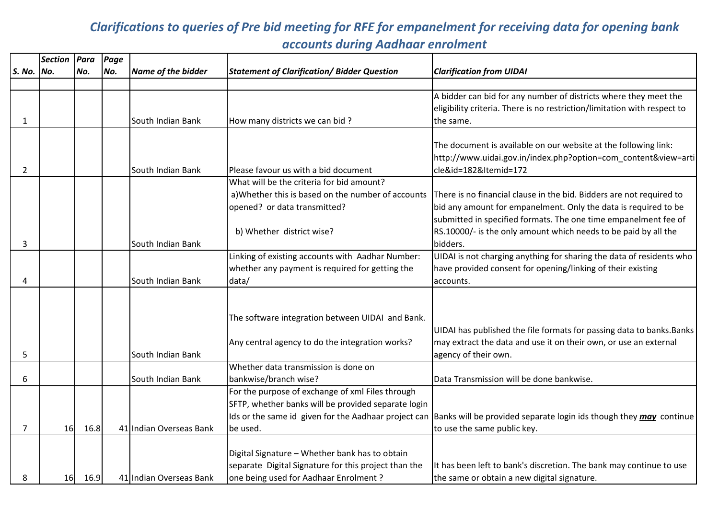## Clarifications to queries of Pre bid meeting for RFE for empanelment for receiving data for opening bank accounts during Aadhaar enrolment

|                | <b>Section</b> | Para | Page |                         |                                                      |                                                                                                                                |
|----------------|----------------|------|------|-------------------------|------------------------------------------------------|--------------------------------------------------------------------------------------------------------------------------------|
| S. No. No.     |                | No.  | No.  | Name of the bidder      | <b>Statement of Clarification/ Bidder Question</b>   | <b>Clarification from UIDAI</b>                                                                                                |
|                |                |      |      |                         |                                                      |                                                                                                                                |
|                |                |      |      |                         |                                                      | A bidder can bid for any number of districts where they meet the                                                               |
|                |                |      |      |                         |                                                      | eligibility criteria. There is no restriction/limitation with respect to                                                       |
| $\mathbf{1}$   |                |      |      | South Indian Bank       | How many districts we can bid?                       | the same.                                                                                                                      |
|                |                |      |      |                         |                                                      |                                                                                                                                |
|                |                |      |      |                         |                                                      | The document is available on our website at the following link:                                                                |
|                |                |      |      |                         |                                                      | http://www.uidai.gov.in/index.php?option=com_content&view=arti                                                                 |
| $\overline{2}$ |                |      |      | South Indian Bank       | Please favour us with a bid document                 | cle&id=182&Itemid=172                                                                                                          |
|                |                |      |      |                         | What will be the criteria for bid amount?            |                                                                                                                                |
|                |                |      |      |                         |                                                      | a) Whether this is based on the number of accounts There is no financial clause in the bid. Bidders are not required to        |
|                |                |      |      |                         | opened? or data transmitted?                         | bid any amount for empanelment. Only the data is required to be                                                                |
|                |                |      |      |                         |                                                      | submitted in specified formats. The one time empanelment fee of                                                                |
|                |                |      |      |                         | b) Whether district wise?                            | RS.10000/- is the only amount which needs to be paid by all the                                                                |
| 3              |                |      |      | South Indian Bank       |                                                      | bidders.                                                                                                                       |
|                |                |      |      |                         | Linking of existing accounts with Aadhar Number:     | UIDAI is not charging anything for sharing the data of residents who                                                           |
|                |                |      |      |                         | whether any payment is required for getting the      | have provided consent for opening/linking of their existing                                                                    |
| 4              |                |      |      | South Indian Bank       | data/                                                | accounts.                                                                                                                      |
|                |                |      |      |                         |                                                      |                                                                                                                                |
|                |                |      |      |                         |                                                      |                                                                                                                                |
|                |                |      |      |                         | The software integration between UIDAI and Bank.     |                                                                                                                                |
|                |                |      |      |                         |                                                      | UIDAI has published the file formats for passing data to banks. Banks                                                          |
|                |                |      |      |                         | Any central agency to do the integration works?      | may extract the data and use it on their own, or use an external                                                               |
| 5              |                |      |      | South Indian Bank       |                                                      | agency of their own.                                                                                                           |
|                |                |      |      |                         | Whether data transmission is done on                 |                                                                                                                                |
| 6              |                |      |      | South Indian Bank       | bankwise/branch wise?                                | Data Transmission will be done bankwise.                                                                                       |
|                |                |      |      |                         | For the purpose of exchange of xml Files through     |                                                                                                                                |
|                |                |      |      |                         | SFTP, whether banks will be provided separate login  |                                                                                                                                |
|                |                |      |      |                         |                                                      | Ids or the same id given for the Aadhaar project can Banks will be provided separate login ids though they <i>may</i> continue |
| $\overline{7}$ | 16             | 16.8 |      | 41 Indian Overseas Bank | be used.                                             | to use the same public key.                                                                                                    |
|                |                |      |      |                         |                                                      |                                                                                                                                |
|                |                |      |      |                         | Digital Signature - Whether bank has to obtain       |                                                                                                                                |
|                |                |      |      |                         | separate Digital Signature for this project than the | It has been left to bank's discretion. The bank may continue to use                                                            |
| 8              | 16             | 16.9 |      | 41 Indian Overseas Bank | one being used for Aadhaar Enrolment?                | the same or obtain a new digital signature.                                                                                    |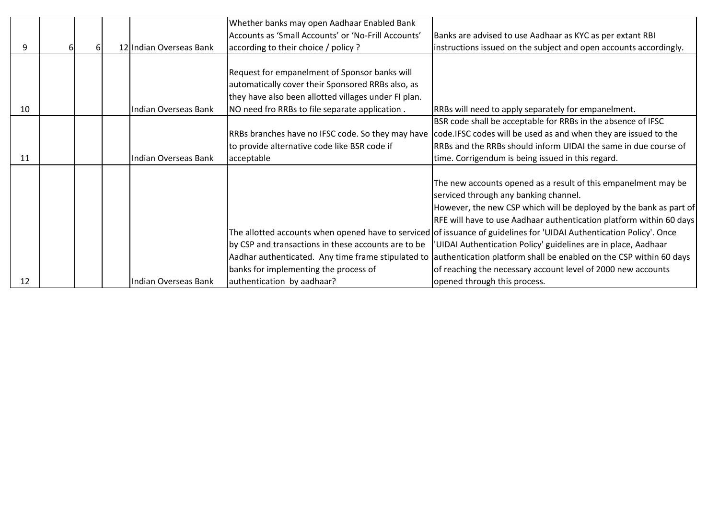|    |    |   |                         | Whether banks may open Aadhaar Enabled Bank          |                                                                                                                       |
|----|----|---|-------------------------|------------------------------------------------------|-----------------------------------------------------------------------------------------------------------------------|
|    |    |   |                         | Accounts as 'Small Accounts' or 'No-Frill Accounts'  | Banks are advised to use Aadhaar as KYC as per extant RBI                                                             |
| 9  | 61 | 6 | 12 Indian Overseas Bank | according to their choice / policy ?                 | instructions issued on the subject and open accounts accordingly.                                                     |
|    |    |   |                         |                                                      |                                                                                                                       |
|    |    |   |                         | Request for empanelment of Sponsor banks will        |                                                                                                                       |
|    |    |   |                         | automatically cover their Sponsored RRBs also, as    |                                                                                                                       |
|    |    |   |                         | they have also been allotted villages under FI plan. |                                                                                                                       |
| 10 |    |   | Indian Overseas Bank    | NO need fro RRBs to file separate application.       | RRBs will need to apply separately for empanelment.                                                                   |
|    |    |   |                         |                                                      | BSR code shall be acceptable for RRBs in the absence of IFSC                                                          |
|    |    |   |                         | RRBs branches have no IFSC code. So they may have    | code. IFSC codes will be used as and when they are issued to the                                                      |
|    |    |   |                         | to provide alternative code like BSR code if         | RRBs and the RRBs should inform UIDAI the same in due course of                                                       |
| 11 |    |   | Indian Overseas Bank    | acceptable                                           | time. Corrigendum is being issued in this regard.                                                                     |
|    |    |   |                         |                                                      |                                                                                                                       |
|    |    |   |                         |                                                      | The new accounts opened as a result of this empanelment may be                                                        |
|    |    |   |                         |                                                      | serviced through any banking channel.                                                                                 |
|    |    |   |                         |                                                      | However, the new CSP which will be deployed by the bank as part of                                                    |
|    |    |   |                         |                                                      | RFE will have to use Aadhaar authentication platform within 60 days                                                   |
|    |    |   |                         |                                                      | The allotted accounts when opened have to serviced of issuance of guidelines for 'UIDAI Authentication Policy'. Once  |
|    |    |   |                         | by CSP and transactions in these accounts are to be  | UIDAI Authentication Policy' guidelines are in place, Aadhaar                                                         |
|    |    |   |                         |                                                      | Aadhar authenticated. Any time frame stipulated to authentication platform shall be enabled on the CSP within 60 days |
|    |    |   |                         | banks for implementing the process of                | of reaching the necessary account level of 2000 new accounts                                                          |
| 12 |    |   | Indian Overseas Bank    | authentication by aadhaar?                           | opened through this process.                                                                                          |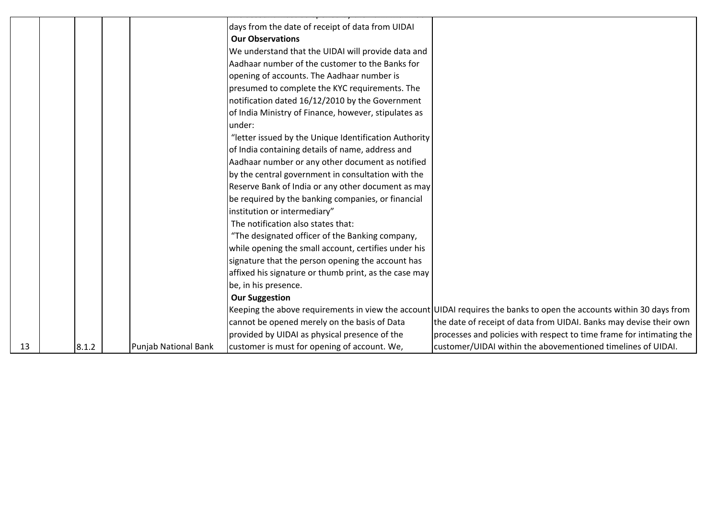|    |       |                      | days from the date of receipt of data from UIDAI<br><b>Our Observations</b> |                                                                                                                      |
|----|-------|----------------------|-----------------------------------------------------------------------------|----------------------------------------------------------------------------------------------------------------------|
|    |       |                      | We understand that the UIDAI will provide data and                          |                                                                                                                      |
|    |       |                      | Aadhaar number of the customer to the Banks for                             |                                                                                                                      |
|    |       |                      | opening of accounts. The Aadhaar number is                                  |                                                                                                                      |
|    |       |                      | presumed to complete the KYC requirements. The                              |                                                                                                                      |
|    |       |                      | notification dated 16/12/2010 by the Government                             |                                                                                                                      |
|    |       |                      | of India Ministry of Finance, however, stipulates as                        |                                                                                                                      |
|    |       |                      | under:                                                                      |                                                                                                                      |
|    |       |                      | "letter issued by the Unique Identification Authority                       |                                                                                                                      |
|    |       |                      | of India containing details of name, address and                            |                                                                                                                      |
|    |       |                      | Aadhaar number or any other document as notified                            |                                                                                                                      |
|    |       |                      | by the central government in consultation with the                          |                                                                                                                      |
|    |       |                      | Reserve Bank of India or any other document as may                          |                                                                                                                      |
|    |       |                      | be required by the banking companies, or financial                          |                                                                                                                      |
|    |       |                      | institution or intermediary"                                                |                                                                                                                      |
|    |       |                      | The notification also states that:                                          |                                                                                                                      |
|    |       |                      | "The designated officer of the Banking company,                             |                                                                                                                      |
|    |       |                      | while opening the small account, certifies under his                        |                                                                                                                      |
|    |       |                      | signature that the person opening the account has                           |                                                                                                                      |
|    |       |                      | affixed his signature or thumb print, as the case may                       |                                                                                                                      |
|    |       |                      | be, in his presence.                                                        |                                                                                                                      |
|    |       |                      | <b>Our Suggestion</b>                                                       |                                                                                                                      |
|    |       |                      |                                                                             | Keeping the above requirements in view the account UIDAI requires the banks to open the accounts within 30 days from |
|    |       |                      | cannot be opened merely on the basis of Data                                | the date of receipt of data from UIDAI. Banks may devise their own                                                   |
|    |       |                      | provided by UIDAI as physical presence of the                               | processes and policies with respect to time frame for intimating the                                                 |
| 13 | 8.1.2 | Punjab National Bank | customer is must for opening of account. We,                                | customer/UIDAI within the abovementioned timelines of UIDAI.                                                         |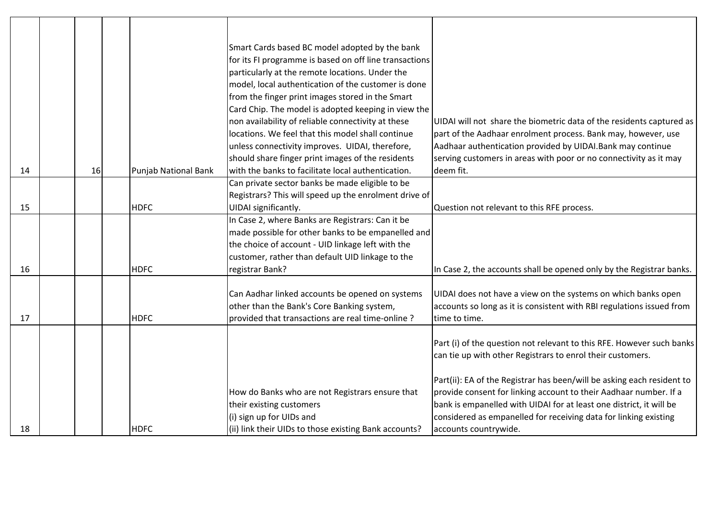|    |    |                      | Smart Cards based BC model adopted by the bank         |                                                                        |
|----|----|----------------------|--------------------------------------------------------|------------------------------------------------------------------------|
|    |    |                      | for its FI programme is based on off line transactions |                                                                        |
|    |    |                      | particularly at the remote locations. Under the        |                                                                        |
|    |    |                      | model, local authentication of the customer is done    |                                                                        |
|    |    |                      | from the finger print images stored in the Smart       |                                                                        |
|    |    |                      | Card Chip. The model is adopted keeping in view the    |                                                                        |
|    |    |                      | non availability of reliable connectivity at these     | UIDAI will not share the biometric data of the residents captured as   |
|    |    |                      | locations. We feel that this model shall continue      | part of the Aadhaar enrolment process. Bank may, however, use          |
|    |    |                      | unless connectivity improves. UIDAI, therefore,        | Aadhaar authentication provided by UIDAI. Bank may continue            |
|    |    |                      | should share finger print images of the residents      | serving customers in areas with poor or no connectivity as it may      |
| 14 | 16 | Punjab National Bank | with the banks to facilitate local authentication.     | deem fit.                                                              |
|    |    |                      | Can private sector banks be made eligible to be        |                                                                        |
|    |    |                      | Registrars? This will speed up the enrolment drive of  |                                                                        |
| 15 |    | <b>HDFC</b>          | UIDAI significantly.                                   | Question not relevant to this RFE process.                             |
|    |    |                      | In Case 2, where Banks are Registrars: Can it be       |                                                                        |
|    |    |                      | made possible for other banks to be empanelled and     |                                                                        |
|    |    |                      | the choice of account - UID linkage left with the      |                                                                        |
|    |    |                      | customer, rather than default UID linkage to the       |                                                                        |
| 16 |    | <b>HDFC</b>          | registrar Bank?                                        | In Case 2, the accounts shall be opened only by the Registrar banks.   |
|    |    |                      |                                                        |                                                                        |
|    |    |                      | Can Aadhar linked accounts be opened on systems        | UIDAI does not have a view on the systems on which banks open          |
|    |    |                      | other than the Bank's Core Banking system,             | accounts so long as it is consistent with RBI regulations issued from  |
| 17 |    | <b>HDFC</b>          | provided that transactions are real time-online?       | time to time.                                                          |
|    |    |                      |                                                        |                                                                        |
|    |    |                      |                                                        | Part (i) of the question not relevant to this RFE. However such banks  |
|    |    |                      |                                                        | can tie up with other Registrars to enrol their customers.             |
|    |    |                      |                                                        |                                                                        |
|    |    |                      |                                                        | Part(ii): EA of the Registrar has been/will be asking each resident to |
|    |    |                      | How do Banks who are not Registrars ensure that        | provide consent for linking account to their Aadhaar number. If a      |
|    |    |                      | their existing customers                               | bank is empanelled with UIDAI for at least one district, it will be    |
|    |    |                      | (i) sign up for UIDs and                               | considered as empanelled for receiving data for linking existing       |
| 18 |    | <b>HDFC</b>          | (ii) link their UIDs to those existing Bank accounts?  | accounts countrywide.                                                  |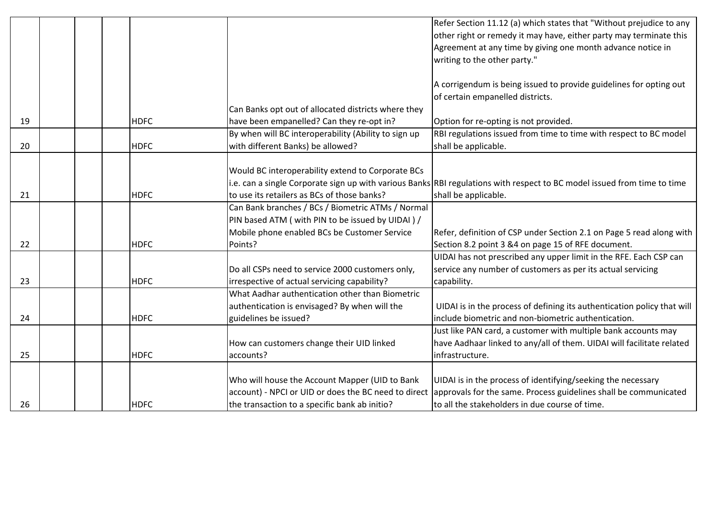|    |             |                                                      | Refer Section 11.12 (a) which states that "Without prejudice to any                                                      |
|----|-------------|------------------------------------------------------|--------------------------------------------------------------------------------------------------------------------------|
|    |             |                                                      | other right or remedy it may have, either party may terminate this                                                       |
|    |             |                                                      | Agreement at any time by giving one month advance notice in                                                              |
|    |             |                                                      | writing to the other party."                                                                                             |
|    |             |                                                      |                                                                                                                          |
|    |             |                                                      | A corrigendum is being issued to provide guidelines for opting out                                                       |
|    |             |                                                      | of certain empanelled districts.                                                                                         |
|    |             | Can Banks opt out of allocated districts where they  |                                                                                                                          |
| 19 | <b>HDFC</b> | have been empanelled? Can they re-opt in?            | Option for re-opting is not provided.                                                                                    |
|    |             | By when will BC interoperability (Ability to sign up | RBI regulations issued from time to time with respect to BC model                                                        |
| 20 | <b>HDFC</b> | with different Banks) be allowed?                    | shall be applicable.                                                                                                     |
|    |             |                                                      |                                                                                                                          |
|    |             | Would BC interoperability extend to Corporate BCs    |                                                                                                                          |
|    |             |                                                      | i.e. can a single Corporate sign up with various Banks RBI regulations with respect to BC model issued from time to time |
| 21 | <b>HDFC</b> | to use its retailers as BCs of those banks?          | shall be applicable.                                                                                                     |
|    |             | Can Bank branches / BCs / Biometric ATMs / Normal    |                                                                                                                          |
|    |             | PIN based ATM ( with PIN to be issued by UIDAI ) /   |                                                                                                                          |
|    |             | Mobile phone enabled BCs be Customer Service         | Refer, definition of CSP under Section 2.1 on Page 5 read along with                                                     |
| 22 | <b>HDFC</b> | Points?                                              | Section 8.2 point 3 &4 on page 15 of RFE document.                                                                       |
|    |             |                                                      | UIDAI has not prescribed any upper limit in the RFE. Each CSP can                                                        |
|    |             | Do all CSPs need to service 2000 customers only,     | service any number of customers as per its actual servicing                                                              |
| 23 | <b>HDFC</b> | irrespective of actual servicing capability?         | capability.                                                                                                              |
|    |             | What Aadhar authentication other than Biometric      |                                                                                                                          |
|    |             | authentication is envisaged? By when will the        | UIDAI is in the process of defining its authentication policy that will                                                  |
| 24 | <b>HDFC</b> | guidelines be issued?                                | include biometric and non-biometric authentication.                                                                      |
|    |             |                                                      | Just like PAN card, a customer with multiple bank accounts may                                                           |
|    |             | How can customers change their UID linked            | have Aadhaar linked to any/all of them. UIDAI will facilitate related                                                    |
| 25 | <b>HDFC</b> | accounts?                                            | infrastructure.                                                                                                          |
|    |             |                                                      |                                                                                                                          |
|    |             | Who will house the Account Mapper (UID to Bank       | UIDAI is in the process of identifying/seeking the necessary                                                             |
|    |             | account) - NPCI or UID or does the BC need to direct | approvals for the same. Process guidelines shall be communicated                                                         |
| 26 | <b>HDFC</b> | the transaction to a specific bank ab initio?        | to all the stakeholders in due course of time.                                                                           |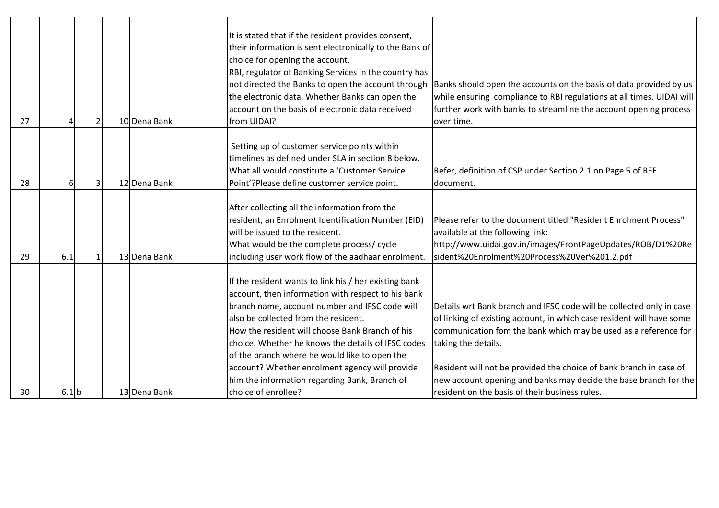|    |         |   |              | It is stated that if the resident provides consent,<br>their information is sent electronically to the Bank of<br>choice for opening the account.<br>RBI, regulator of Banking Services in the country has<br>not directed the Banks to open the account through<br>the electronic data. Whether Banks can open the                                             | Banks should open the accounts on the basis of data provided by us<br>while ensuring compliance to RBI regulations at all times. UIDAI will                                                                                             |
|----|---------|---|--------------|-----------------------------------------------------------------------------------------------------------------------------------------------------------------------------------------------------------------------------------------------------------------------------------------------------------------------------------------------------------------|-----------------------------------------------------------------------------------------------------------------------------------------------------------------------------------------------------------------------------------------|
| 27 |         |   | 10 Dena Bank | account on the basis of electronic data received<br>from UIDAI?                                                                                                                                                                                                                                                                                                 | further work with banks to streamline the account opening process<br>over time.                                                                                                                                                         |
|    |         |   |              |                                                                                                                                                                                                                                                                                                                                                                 |                                                                                                                                                                                                                                         |
|    |         |   |              | Setting up of customer service points within                                                                                                                                                                                                                                                                                                                    |                                                                                                                                                                                                                                         |
|    |         |   |              | timelines as defined under SLA in section 8 below.                                                                                                                                                                                                                                                                                                              |                                                                                                                                                                                                                                         |
|    |         |   |              | What all would constitute a 'Customer Service                                                                                                                                                                                                                                                                                                                   | Refer, definition of CSP under Section 2.1 on Page 5 of RFE                                                                                                                                                                             |
| 28 | 6       | З | 12 Dena Bank | Point'?Please define customer service point.                                                                                                                                                                                                                                                                                                                    | document.                                                                                                                                                                                                                               |
|    |         |   |              | After collecting all the information from the<br>resident, an Enrolment Identification Number (EID)<br>will be issued to the resident.                                                                                                                                                                                                                          | Please refer to the document titled "Resident Enrolment Process"<br>available at the following link:                                                                                                                                    |
|    |         |   |              | What would be the complete process/ cycle                                                                                                                                                                                                                                                                                                                       | http://www.uidai.gov.in/images/FrontPageUpdates/ROB/D1%20Re                                                                                                                                                                             |
| 29 | 6.1     |   | 13 Dena Bank | including user work flow of the aadhaar enrolment.                                                                                                                                                                                                                                                                                                              | sident%20Enrolment%20Process%20Ver%201.2.pdf                                                                                                                                                                                            |
|    |         |   |              | If the resident wants to link his / her existing bank<br>account, then information with respect to his bank<br>branch name, account number and IFSC code will<br>also be collected from the resident.<br>How the resident will choose Bank Branch of his<br>choice. Whether he knows the details of IFSC codes<br>of the branch where he would like to open the | Details wrt Bank branch and IFSC code will be collected only in case<br>of linking of existing account, in which case resident will have some<br>communication fom the bank which may be used as a reference for<br>taking the details. |
|    |         |   |              | account? Whether enrolment agency will provide                                                                                                                                                                                                                                                                                                                  | Resident will not be provided the choice of bank branch in case of                                                                                                                                                                      |
|    |         |   |              | him the information regarding Bank, Branch of                                                                                                                                                                                                                                                                                                                   | new account opening and banks may decide the base branch for the                                                                                                                                                                        |
| 30 | $6.1$ b |   | 13 Dena Bank | choice of enrollee?                                                                                                                                                                                                                                                                                                                                             | resident on the basis of their business rules.                                                                                                                                                                                          |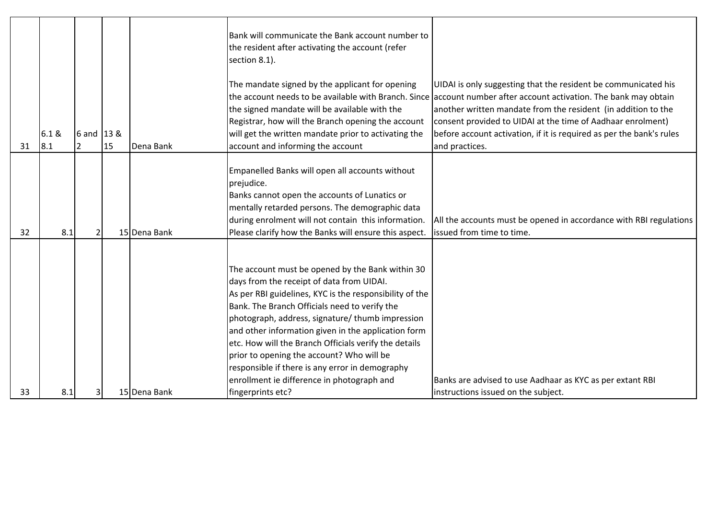|    |               |            |    |              | Bank will communicate the Bank account number to<br>the resident after activating the account (refer<br>section 8.1).                                                                                                                               |                                                                                                                                                                                                                                                                                                                                                                                                               |
|----|---------------|------------|----|--------------|-----------------------------------------------------------------------------------------------------------------------------------------------------------------------------------------------------------------------------------------------------|---------------------------------------------------------------------------------------------------------------------------------------------------------------------------------------------------------------------------------------------------------------------------------------------------------------------------------------------------------------------------------------------------------------|
| 31 | 6.1 &<br> 8.1 | 6 and 13 & | 15 | Dena Bank    | The mandate signed by the applicant for opening<br>the signed mandate will be available with the<br>Registrar, how will the Branch opening the account<br>will get the written mandate prior to activating the<br>account and informing the account | UIDAI is only suggesting that the resident be communicated his<br>the account needs to be available with Branch. Since account number after account activation. The bank may obtain<br>another written mandate from the resident (in addition to the<br>consent provided to UIDAI at the time of Aadhaar enrolment)<br>before account activation, if it is required as per the bank's rules<br>and practices. |
|    |               |            |    |              | Empanelled Banks will open all accounts without                                                                                                                                                                                                     |                                                                                                                                                                                                                                                                                                                                                                                                               |
|    |               |            |    |              | prejudice.                                                                                                                                                                                                                                          |                                                                                                                                                                                                                                                                                                                                                                                                               |
|    |               |            |    |              | Banks cannot open the accounts of Lunatics or                                                                                                                                                                                                       |                                                                                                                                                                                                                                                                                                                                                                                                               |
|    |               |            |    |              | mentally retarded persons. The demographic data                                                                                                                                                                                                     |                                                                                                                                                                                                                                                                                                                                                                                                               |
|    |               |            |    |              | during enrolment will not contain this information.                                                                                                                                                                                                 | All the accounts must be opened in accordance with RBI regulations                                                                                                                                                                                                                                                                                                                                            |
| 32 | 8.1           |            |    | 15 Dena Bank | Please clarify how the Banks will ensure this aspect.                                                                                                                                                                                               | issued from time to time.                                                                                                                                                                                                                                                                                                                                                                                     |
|    |               |            |    |              |                                                                                                                                                                                                                                                     |                                                                                                                                                                                                                                                                                                                                                                                                               |
|    |               |            |    |              |                                                                                                                                                                                                                                                     |                                                                                                                                                                                                                                                                                                                                                                                                               |
|    |               |            |    |              | The account must be opened by the Bank within 30                                                                                                                                                                                                    |                                                                                                                                                                                                                                                                                                                                                                                                               |
|    |               |            |    |              | days from the receipt of data from UIDAI.                                                                                                                                                                                                           |                                                                                                                                                                                                                                                                                                                                                                                                               |
|    |               |            |    |              | As per RBI guidelines, KYC is the responsibility of the<br>Bank. The Branch Officials need to verify the                                                                                                                                            |                                                                                                                                                                                                                                                                                                                                                                                                               |
|    |               |            |    |              | photograph, address, signature/ thumb impression                                                                                                                                                                                                    |                                                                                                                                                                                                                                                                                                                                                                                                               |
|    |               |            |    |              | and other information given in the application form                                                                                                                                                                                                 |                                                                                                                                                                                                                                                                                                                                                                                                               |
|    |               |            |    |              | etc. How will the Branch Officials verify the details                                                                                                                                                                                               |                                                                                                                                                                                                                                                                                                                                                                                                               |
|    |               |            |    |              | prior to opening the account? Who will be                                                                                                                                                                                                           |                                                                                                                                                                                                                                                                                                                                                                                                               |
|    |               |            |    |              | responsible if there is any error in demography                                                                                                                                                                                                     |                                                                                                                                                                                                                                                                                                                                                                                                               |
|    |               |            |    |              | enrollment ie difference in photograph and                                                                                                                                                                                                          | Banks are advised to use Aadhaar as KYC as per extant RBI                                                                                                                                                                                                                                                                                                                                                     |
| 33 | 8.1           |            |    | 15 Dena Bank | fingerprints etc?                                                                                                                                                                                                                                   | instructions issued on the subject.                                                                                                                                                                                                                                                                                                                                                                           |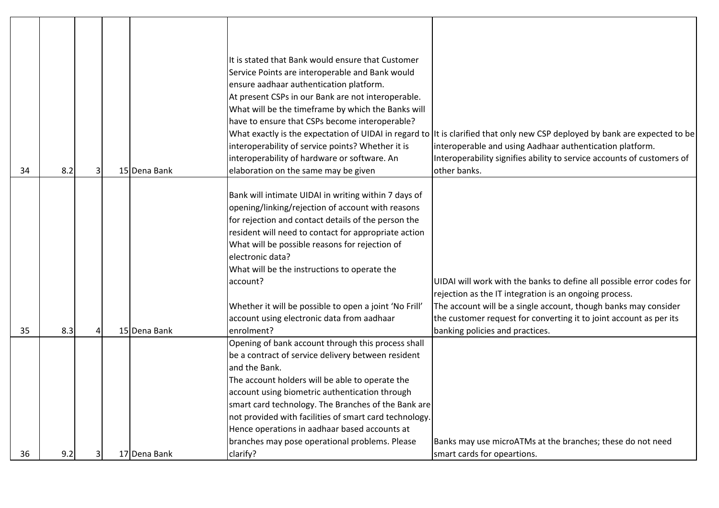|    |     |   |              | It is stated that Bank would ensure that Customer                                                    |                                                                                                                             |
|----|-----|---|--------------|------------------------------------------------------------------------------------------------------|-----------------------------------------------------------------------------------------------------------------------------|
|    |     |   |              | Service Points are interoperable and Bank would                                                      |                                                                                                                             |
|    |     |   |              | ensure aadhaar authentication platform.                                                              |                                                                                                                             |
|    |     |   |              | At present CSPs in our Bank are not interoperable.                                                   |                                                                                                                             |
|    |     |   |              | What will be the timeframe by which the Banks will<br>have to ensure that CSPs become interoperable? |                                                                                                                             |
|    |     |   |              |                                                                                                      | What exactly is the expectation of UIDAI in regard to It is clarified that only new CSP deployed by bank are expected to be |
|    |     |   |              | interoperability of service points? Whether it is                                                    | interoperable and using Aadhaar authentication platform.                                                                    |
|    |     |   |              | interoperability of hardware or software. An                                                         | Interoperability signifies ability to service accounts of customers of                                                      |
| 34 | 8.2 | 3 | 15 Dena Bank | elaboration on the same may be given                                                                 | other banks.                                                                                                                |
|    |     |   |              |                                                                                                      |                                                                                                                             |
|    |     |   |              | Bank will intimate UIDAI in writing within 7 days of                                                 |                                                                                                                             |
|    |     |   |              | opening/linking/rejection of account with reasons                                                    |                                                                                                                             |
|    |     |   |              | for rejection and contact details of the person the                                                  |                                                                                                                             |
|    |     |   |              | resident will need to contact for appropriate action                                                 |                                                                                                                             |
|    |     |   |              | What will be possible reasons for rejection of                                                       |                                                                                                                             |
|    |     |   |              | electronic data?                                                                                     |                                                                                                                             |
|    |     |   |              | What will be the instructions to operate the                                                         |                                                                                                                             |
|    |     |   |              | account?                                                                                             | UIDAI will work with the banks to define all possible error codes for                                                       |
|    |     |   |              |                                                                                                      | rejection as the IT integration is an ongoing process.                                                                      |
|    |     |   |              | Whether it will be possible to open a joint 'No Frill'                                               | The account will be a single account, though banks may consider                                                             |
|    |     |   |              | account using electronic data from aadhaar                                                           | the customer request for converting it to joint account as per its                                                          |
| 35 | 8.3 |   | 15 Dena Bank | enrolment?                                                                                           | banking policies and practices.                                                                                             |
|    |     |   |              | Opening of bank account through this process shall                                                   |                                                                                                                             |
|    |     |   |              | be a contract of service delivery between resident                                                   |                                                                                                                             |
|    |     |   |              | and the Bank.                                                                                        |                                                                                                                             |
|    |     |   |              | The account holders will be able to operate the                                                      |                                                                                                                             |
|    |     |   |              | account using biometric authentication through                                                       |                                                                                                                             |
|    |     |   |              | smart card technology. The Branches of the Bank are                                                  |                                                                                                                             |
|    |     |   |              | not provided with facilities of smart card technology.                                               |                                                                                                                             |
|    |     |   |              | Hence operations in aadhaar based accounts at                                                        |                                                                                                                             |
|    |     |   |              | branches may pose operational problems. Please                                                       | Banks may use microATMs at the branches; these do not need                                                                  |
| 36 | 9.2 |   | 17 Dena Bank | clarify?                                                                                             | smart cards for opeartions.                                                                                                 |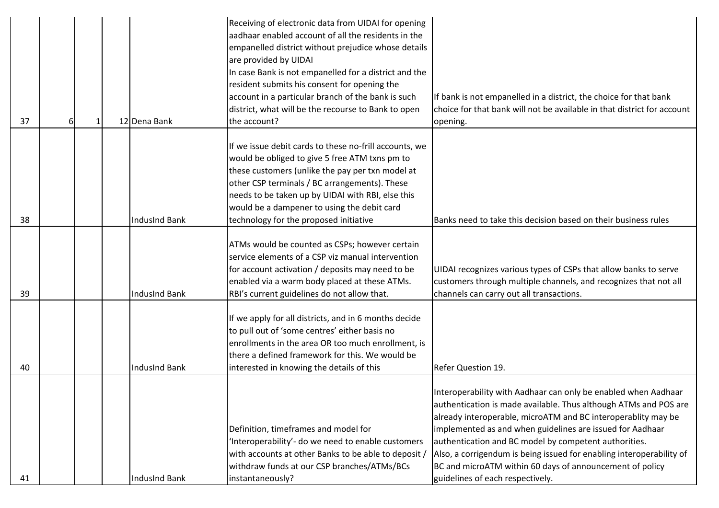|    |   |    |                      | Receiving of electronic data from UIDAI for opening    |                                                                         |
|----|---|----|----------------------|--------------------------------------------------------|-------------------------------------------------------------------------|
|    |   |    |                      | aadhaar enabled account of all the residents in the    |                                                                         |
|    |   |    |                      | empanelled district without prejudice whose details    |                                                                         |
|    |   |    |                      | are provided by UIDAI                                  |                                                                         |
|    |   |    |                      | In case Bank is not empanelled for a district and the  |                                                                         |
|    |   |    |                      | resident submits his consent for opening the           |                                                                         |
|    |   |    |                      | account in a particular branch of the bank is such     | If bank is not empanelled in a district, the choice for that bank       |
|    |   |    |                      | district, what will be the recourse to Bank to open    | choice for that bank will not be available in that district for account |
| 37 | 6 | -1 | 12 Dena Bank         | the account?                                           | opening.                                                                |
|    |   |    |                      |                                                        |                                                                         |
|    |   |    |                      | If we issue debit cards to these no-frill accounts, we |                                                                         |
|    |   |    |                      | would be obliged to give 5 free ATM txns pm to         |                                                                         |
|    |   |    |                      | these customers (unlike the pay per txn model at       |                                                                         |
|    |   |    |                      | other CSP terminals / BC arrangements). These          |                                                                         |
|    |   |    |                      | needs to be taken up by UIDAI with RBI, else this      |                                                                         |
|    |   |    |                      | would be a dampener to using the debit card            |                                                                         |
| 38 |   |    | <b>IndusInd Bank</b> | technology for the proposed initiative                 | Banks need to take this decision based on their business rules          |
|    |   |    |                      |                                                        |                                                                         |
|    |   |    |                      | ATMs would be counted as CSPs; however certain         |                                                                         |
|    |   |    |                      | service elements of a CSP viz manual intervention      |                                                                         |
|    |   |    |                      |                                                        | UIDAI recognizes various types of CSPs that allow banks to serve        |
|    |   |    |                      | for account activation / deposits may need to be       |                                                                         |
|    |   |    |                      | enabled via a warm body placed at these ATMs.          | customers through multiple channels, and recognizes that not all        |
| 39 |   |    | <b>IndusInd Bank</b> | RBI's current guidelines do not allow that.            | channels can carry out all transactions.                                |
|    |   |    |                      |                                                        |                                                                         |
|    |   |    |                      | If we apply for all districts, and in 6 months decide  |                                                                         |
|    |   |    |                      | to pull out of 'some centres' either basis no          |                                                                         |
|    |   |    |                      | enrollments in the area OR too much enrollment, is     |                                                                         |
|    |   |    |                      | there a defined framework for this. We would be        |                                                                         |
| 40 |   |    | <b>IndusInd Bank</b> | interested in knowing the details of this              | Refer Question 19.                                                      |
|    |   |    |                      |                                                        |                                                                         |
|    |   |    |                      |                                                        | Interoperability with Aadhaar can only be enabled when Aadhaar          |
|    |   |    |                      |                                                        | authentication is made available. Thus although ATMs and POS are        |
|    |   |    |                      |                                                        | already interoperable, microATM and BC interoperablity may be           |
|    |   |    |                      | Definition, timeframes and model for                   | implemented as and when guidelines are issued for Aadhaar               |
|    |   |    |                      | 'Interoperability'- do we need to enable customers     | authentication and BC model by competent authorities.                   |
|    |   |    |                      | with accounts at other Banks to be able to deposit /   | Also, a corrigendum is being issued for enabling interoperability of    |
|    |   |    |                      | withdraw funds at our CSP branches/ATMs/BCs            | BC and microATM within 60 days of announcement of policy                |
| 41 |   |    | <b>IndusInd Bank</b> | instantaneously?                                       | guidelines of each respectively.                                        |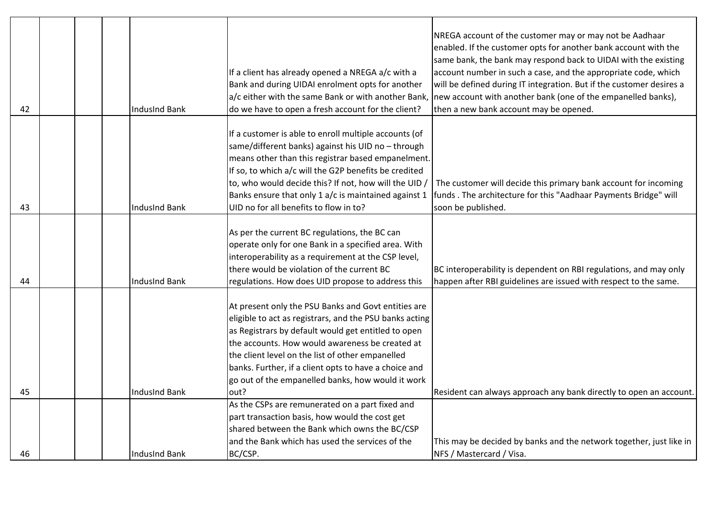|    |  |                      |                                                         | NREGA account of the customer may or may not be Aadhaar              |
|----|--|----------------------|---------------------------------------------------------|----------------------------------------------------------------------|
|    |  |                      |                                                         | enabled. If the customer opts for another bank account with the      |
|    |  |                      |                                                         | same bank, the bank may respond back to UIDAI with the existing      |
|    |  |                      | If a client has already opened a NREGA a/c with a       | account number in such a case, and the appropriate code, which       |
|    |  |                      | Bank and during UIDAI enrolment opts for another        | will be defined during IT integration. But if the customer desires a |
|    |  |                      | a/c either with the same Bank or with another Bank,     | new account with another bank (one of the empanelled banks),         |
| 42 |  | IndusInd Bank        | do we have to open a fresh account for the client?      | then a new bank account may be opened.                               |
|    |  |                      |                                                         |                                                                      |
|    |  |                      | If a customer is able to enroll multiple accounts (of   |                                                                      |
|    |  |                      | same/different banks) against his UID no - through      |                                                                      |
|    |  |                      | means other than this registrar based empanelment.      |                                                                      |
|    |  |                      | If so, to which a/c will the G2P benefits be credited   |                                                                      |
|    |  |                      | to, who would decide this? If not, how will the UID,    | The customer will decide this primary bank account for incoming      |
|    |  |                      | Banks ensure that only 1 a/c is maintained against 1    | funds. The architecture for this "Aadhaar Payments Bridge" will      |
| 43 |  | IndusInd Bank        | UID no for all benefits to flow in to?                  | soon be published.                                                   |
|    |  |                      |                                                         |                                                                      |
|    |  |                      | As per the current BC regulations, the BC can           |                                                                      |
|    |  |                      | operate only for one Bank in a specified area. With     |                                                                      |
|    |  |                      | interoperability as a requirement at the CSP level,     |                                                                      |
|    |  |                      | there would be violation of the current BC              | BC interoperability is dependent on RBI regulations, and may only    |
| 44 |  | IndusInd Bank        | regulations. How does UID propose to address this       | happen after RBI guidelines are issued with respect to the same.     |
|    |  |                      |                                                         |                                                                      |
|    |  |                      | At present only the PSU Banks and Govt entities are     |                                                                      |
|    |  |                      | eligible to act as registrars, and the PSU banks acting |                                                                      |
|    |  |                      | as Registrars by default would get entitled to open     |                                                                      |
|    |  |                      | the accounts. How would awareness be created at         |                                                                      |
|    |  |                      | the client level on the list of other empanelled        |                                                                      |
|    |  |                      | banks. Further, if a client opts to have a choice and   |                                                                      |
|    |  |                      | go out of the empanelled banks, how would it work       |                                                                      |
| 45 |  | IndusInd Bank        | out?                                                    | Resident can always approach any bank directly to open an account.   |
|    |  |                      | As the CSPs are remunerated on a part fixed and         |                                                                      |
|    |  |                      | part transaction basis, how would the cost get          |                                                                      |
|    |  |                      | shared between the Bank which owns the BC/CSP           |                                                                      |
|    |  |                      | and the Bank which has used the services of the         | This may be decided by banks and the network together, just like in  |
| 46 |  | <b>IndusInd Bank</b> | BC/CSP.                                                 | NFS / Mastercard / Visa.                                             |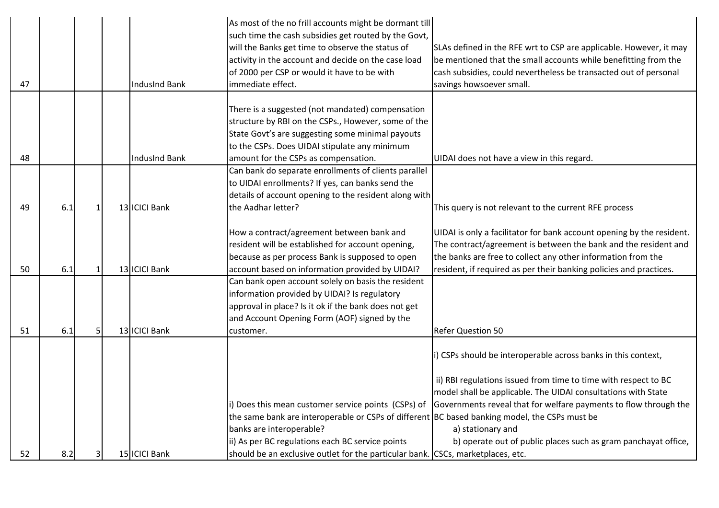|    |     |              |                      | As most of the no frill accounts might be dormant till                                        |                                                                       |
|----|-----|--------------|----------------------|-----------------------------------------------------------------------------------------------|-----------------------------------------------------------------------|
|    |     |              |                      | such time the cash subsidies get routed by the Govt,                                          |                                                                       |
|    |     |              |                      | will the Banks get time to observe the status of                                              | SLAs defined in the RFE wrt to CSP are applicable. However, it may    |
|    |     |              |                      | activity in the account and decide on the case load                                           | be mentioned that the small accounts while benefitting from the       |
|    |     |              |                      | of 2000 per CSP or would it have to be with                                                   | cash subsidies, could nevertheless be transacted out of personal      |
| 47 |     |              | <b>IndusInd Bank</b> | immediate effect.                                                                             | savings howsoever small.                                              |
|    |     |              |                      |                                                                                               |                                                                       |
|    |     |              |                      | There is a suggested (not mandated) compensation                                              |                                                                       |
|    |     |              |                      | structure by RBI on the CSPs., However, some of the                                           |                                                                       |
|    |     |              |                      | State Govt's are suggesting some minimal payouts                                              |                                                                       |
|    |     |              |                      | to the CSPs. Does UIDAI stipulate any minimum                                                 |                                                                       |
| 48 |     |              | <b>IndusInd Bank</b> | amount for the CSPs as compensation.                                                          | UIDAI does not have a view in this regard.                            |
|    |     |              |                      | Can bank do separate enrollments of clients parallel                                          |                                                                       |
|    |     |              |                      | to UIDAI enrollments? If yes, can banks send the                                              |                                                                       |
|    |     |              |                      | details of account opening to the resident along with                                         |                                                                       |
| 49 | 6.1 | $\mathbf{1}$ | 13 ICICI Bank        | the Aadhar letter?                                                                            | This query is not relevant to the current RFE process                 |
|    |     |              |                      |                                                                                               |                                                                       |
|    |     |              |                      | How a contract/agreement between bank and                                                     | UIDAI is only a facilitator for bank account opening by the resident. |
|    |     |              |                      | resident will be established for account opening,                                             | The contract/agreement is between the bank and the resident and       |
|    |     |              |                      | because as per process Bank is supposed to open                                               | the banks are free to collect any other information from the          |
| 50 | 6.1 | $\mathbf{1}$ | 13 ICICI Bank        | account based on information provided by UIDAI?                                               | resident, if required as per their banking policies and practices.    |
|    |     |              |                      | Can bank open account solely on basis the resident                                            |                                                                       |
|    |     |              |                      | information provided by UIDAI? Is regulatory                                                  |                                                                       |
|    |     |              |                      | approval in place? Is it ok if the bank does not get                                          |                                                                       |
|    |     |              |                      | and Account Opening Form (AOF) signed by the                                                  |                                                                       |
| 51 | 6.1 | 5            | 13 ICICI Bank        | customer.                                                                                     | <b>Refer Question 50</b>                                              |
|    |     |              |                      |                                                                                               |                                                                       |
|    |     |              |                      |                                                                                               | i) CSPs should be interoperable across banks in this context,         |
|    |     |              |                      |                                                                                               |                                                                       |
|    |     |              |                      |                                                                                               | ii) RBI regulations issued from time to time with respect to BC       |
|    |     |              |                      |                                                                                               | model shall be applicable. The UIDAI consultations with State         |
|    |     |              |                      | i) Does this mean customer service points (CSPs) of                                           | Governments reveal that for welfare payments to flow through the      |
|    |     |              |                      | the same bank are interoperable or CSPs of different BC based banking model, the CSPs must be |                                                                       |
|    |     |              |                      | banks are interoperable?                                                                      | a) stationary and                                                     |
|    |     |              |                      | ii) As per BC regulations each BC service points                                              | b) operate out of public places such as gram panchayat office,        |
| 52 | 8.2 | 3            | 15 ICICI Bank        | should be an exclusive outlet for the particular bank. CSCs, marketplaces, etc.               |                                                                       |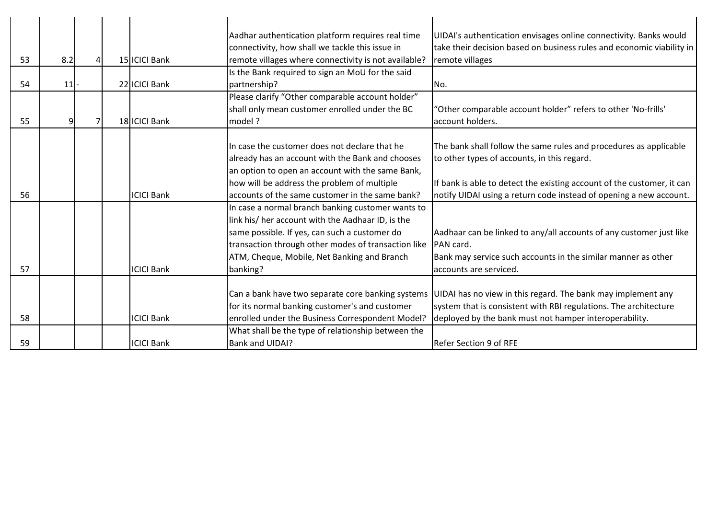|    |     |  |                   | Aadhar authentication platform requires real time    | UIDAI's authentication envisages online connectivity. Banks would      |
|----|-----|--|-------------------|------------------------------------------------------|------------------------------------------------------------------------|
|    |     |  |                   | connectivity, how shall we tackle this issue in      | take their decision based on business rules and economic viability in  |
| 53 | 8.2 |  | 15 ICICI Bank     | remote villages where connectivity is not available? | remote villages                                                        |
|    |     |  |                   | Is the Bank required to sign an MoU for the said     |                                                                        |
| 54 | 11  |  | 22 ICICI Bank     | partnership?                                         | No.                                                                    |
|    |     |  |                   | Please clarify "Other comparable account holder"     |                                                                        |
|    |     |  |                   | shall only mean customer enrolled under the BC       | 'Other comparable account holder" refers to other 'No-frills'          |
| 55 | 9   |  | 18 ICICI Bank     | model ?                                              | account holders.                                                       |
|    |     |  |                   |                                                      |                                                                        |
|    |     |  |                   | In case the customer does not declare that he        | The bank shall follow the same rules and procedures as applicable      |
|    |     |  |                   | already has an account with the Bank and chooses     | to other types of accounts, in this regard.                            |
|    |     |  |                   | an option to open an account with the same Bank,     |                                                                        |
|    |     |  |                   | how will be address the problem of multiple          | If bank is able to detect the existing account of the customer, it can |
| 56 |     |  | <b>ICICI Bank</b> | accounts of the same customer in the same bank?      | notify UIDAI using a return code instead of opening a new account.     |
|    |     |  |                   | In case a normal branch banking customer wants to    |                                                                        |
|    |     |  |                   | link his/ her account with the Aadhaar ID, is the    |                                                                        |
|    |     |  |                   | same possible. If yes, can such a customer do        | Aadhaar can be linked to any/all accounts of any customer just like    |
|    |     |  |                   | transaction through other modes of transaction like  | PAN card.                                                              |
|    |     |  |                   | ATM, Cheque, Mobile, Net Banking and Branch          | Bank may service such accounts in the similar manner as other          |
| 57 |     |  | <b>ICICI Bank</b> | banking?                                             | accounts are serviced.                                                 |
|    |     |  |                   |                                                      |                                                                        |
|    |     |  |                   | Can a bank have two separate core banking systems    | UIDAI has no view in this regard. The bank may implement any           |
|    |     |  |                   | for its normal banking customer's and customer       | system that is consistent with RBI regulations. The architecture       |
| 58 |     |  | <b>ICICI Bank</b> | enrolled under the Business Correspondent Model?     | deployed by the bank must not hamper interoperability.                 |
|    |     |  |                   | What shall be the type of relationship between the   |                                                                        |
| 59 |     |  | <b>ICICI Bank</b> | Bank and UIDAI?                                      | <b>Refer Section 9 of RFE</b>                                          |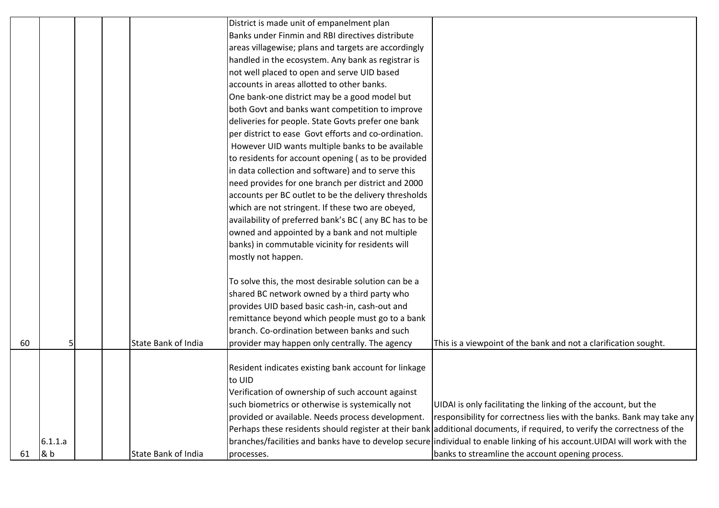|    |         |  |                     | District is made unit of empanelment plan             |                                                                                                                            |
|----|---------|--|---------------------|-------------------------------------------------------|----------------------------------------------------------------------------------------------------------------------------|
|    |         |  |                     | Banks under Finmin and RBI directives distribute      |                                                                                                                            |
|    |         |  |                     | areas villagewise; plans and targets are accordingly  |                                                                                                                            |
|    |         |  |                     | handled in the ecosystem. Any bank as registrar is    |                                                                                                                            |
|    |         |  |                     | not well placed to open and serve UID based           |                                                                                                                            |
|    |         |  |                     | accounts in areas allotted to other banks.            |                                                                                                                            |
|    |         |  |                     | One bank-one district may be a good model but         |                                                                                                                            |
|    |         |  |                     | both Govt and banks want competition to improve       |                                                                                                                            |
|    |         |  |                     | deliveries for people. State Govts prefer one bank    |                                                                                                                            |
|    |         |  |                     | per district to ease Govt efforts and co-ordination.  |                                                                                                                            |
|    |         |  |                     | However UID wants multiple banks to be available      |                                                                                                                            |
|    |         |  |                     | to residents for account opening (as to be provided   |                                                                                                                            |
|    |         |  |                     | in data collection and software) and to serve this    |                                                                                                                            |
|    |         |  |                     | need provides for one branch per district and 2000    |                                                                                                                            |
|    |         |  |                     | accounts per BC outlet to be the delivery thresholds  |                                                                                                                            |
|    |         |  |                     | which are not stringent. If these two are obeyed,     |                                                                                                                            |
|    |         |  |                     | availability of preferred bank's BC (any BC has to be |                                                                                                                            |
|    |         |  |                     | owned and appointed by a bank and not multiple        |                                                                                                                            |
|    |         |  |                     | banks) in commutable vicinity for residents will      |                                                                                                                            |
|    |         |  |                     | mostly not happen.                                    |                                                                                                                            |
|    |         |  |                     |                                                       |                                                                                                                            |
|    |         |  |                     | To solve this, the most desirable solution can be a   |                                                                                                                            |
|    |         |  |                     | shared BC network owned by a third party who          |                                                                                                                            |
|    |         |  |                     | provides UID based basic cash-in, cash-out and        |                                                                                                                            |
|    |         |  |                     | remittance beyond which people must go to a bank      |                                                                                                                            |
|    |         |  |                     | branch. Co-ordination between banks and such          |                                                                                                                            |
| 60 | 5       |  | State Bank of India | provider may happen only centrally. The agency        | This is a viewpoint of the bank and not a clarification sought.                                                            |
|    |         |  |                     |                                                       |                                                                                                                            |
|    |         |  |                     | Resident indicates existing bank account for linkage  |                                                                                                                            |
|    |         |  |                     | to UID                                                |                                                                                                                            |
|    |         |  |                     | Verification of ownership of such account against     |                                                                                                                            |
|    |         |  |                     | such biometrics or otherwise is systemically not      | UIDAI is only facilitating the linking of the account, but the                                                             |
|    |         |  |                     | provided or available. Needs process development.     | responsibility for correctness lies with the banks. Bank may take any                                                      |
|    |         |  |                     |                                                       | Perhaps these residents should register at their bank additional documents, if required, to verify the correctness of the  |
|    | 6.1.1.a |  |                     |                                                       | branches/facilities and banks have to develop secure individual to enable linking of his account. UIDAI will work with the |
| 61 | & b     |  | State Bank of India | processes.                                            | banks to streamline the account opening process.                                                                           |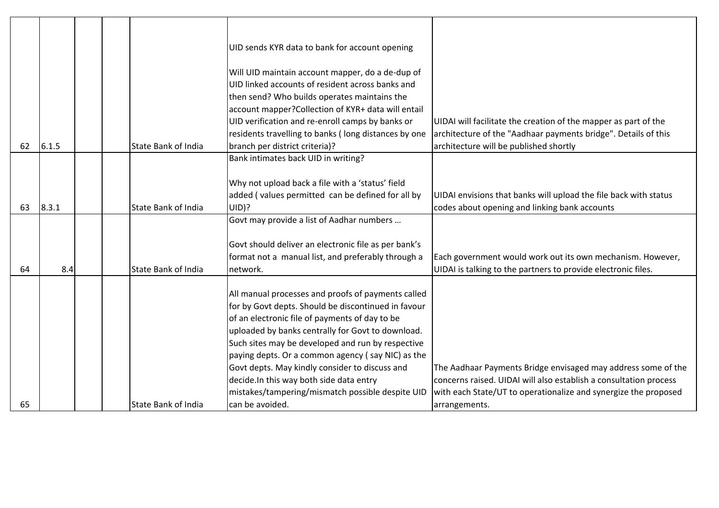|    |       |  |                     | UID sends KYR data to bank for account opening                                                                                                                                                                                                                                                                                                                                                                                                                               |                                                                                                                                                                                                       |
|----|-------|--|---------------------|------------------------------------------------------------------------------------------------------------------------------------------------------------------------------------------------------------------------------------------------------------------------------------------------------------------------------------------------------------------------------------------------------------------------------------------------------------------------------|-------------------------------------------------------------------------------------------------------------------------------------------------------------------------------------------------------|
| 62 | 6.1.5 |  | State Bank of India | Will UID maintain account mapper, do a de-dup of<br>UID linked accounts of resident across banks and<br>then send? Who builds operates maintains the<br>account mapper? Collection of KYR+ data will entail<br>UID verification and re-enroll camps by banks or<br>residents travelling to banks (long distances by one<br>branch per district criteria)?                                                                                                                    | UIDAI will facilitate the creation of the mapper as part of the<br>architecture of the "Aadhaar payments bridge". Details of this<br>architecture will be published shortly                           |
|    |       |  |                     | Bank intimates back UID in writing?                                                                                                                                                                                                                                                                                                                                                                                                                                          |                                                                                                                                                                                                       |
| 63 | 8.3.1 |  | State Bank of India | Why not upload back a file with a 'status' field<br>added (values permitted can be defined for all by<br>UID)?                                                                                                                                                                                                                                                                                                                                                               | UIDAI envisions that banks will upload the file back with status<br>codes about opening and linking bank accounts                                                                                     |
|    |       |  |                     | Govt may provide a list of Aadhar numbers                                                                                                                                                                                                                                                                                                                                                                                                                                    |                                                                                                                                                                                                       |
| 64 | 8.4   |  | State Bank of India | Govt should deliver an electronic file as per bank's<br>format not a manual list, and preferably through a<br>network.                                                                                                                                                                                                                                                                                                                                                       | Each government would work out its own mechanism. However,<br>UIDAI is talking to the partners to provide electronic files.                                                                           |
|    |       |  |                     | All manual processes and proofs of payments called<br>for by Govt depts. Should be discontinued in favour<br>of an electronic file of payments of day to be<br>uploaded by banks centrally for Govt to download.<br>Such sites may be developed and run by respective<br>paying depts. Or a common agency (say NIC) as the<br>Govt depts. May kindly consider to discuss and<br>decide. In this way both side data entry<br>mistakes/tampering/mismatch possible despite UID | The Aadhaar Payments Bridge envisaged may address some of the<br>concerns raised. UIDAI will also establish a consultation process<br>with each State/UT to operationalize and synergize the proposed |
| 65 |       |  | State Bank of India | can be avoided.                                                                                                                                                                                                                                                                                                                                                                                                                                                              | arrangements.                                                                                                                                                                                         |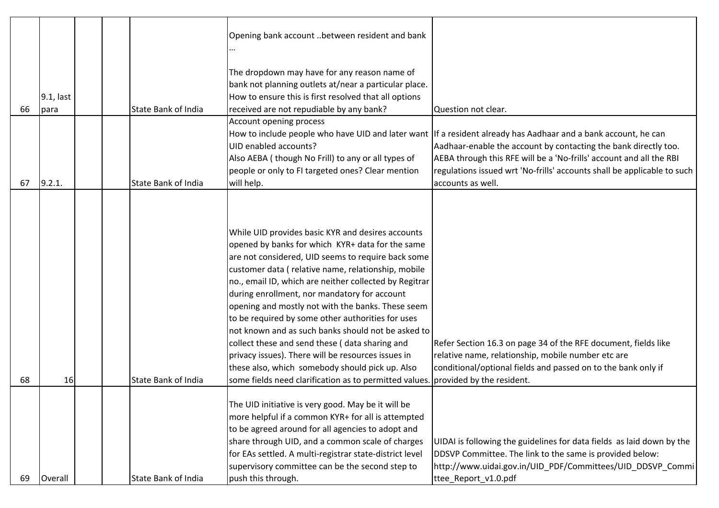|    |           |  |                            | Opening bank account between resident and bank          |                                                                                                                 |
|----|-----------|--|----------------------------|---------------------------------------------------------|-----------------------------------------------------------------------------------------------------------------|
|    |           |  |                            |                                                         |                                                                                                                 |
|    |           |  |                            |                                                         |                                                                                                                 |
|    |           |  |                            | The dropdown may have for any reason name of            |                                                                                                                 |
|    |           |  |                            | bank not planning outlets at/near a particular place.   |                                                                                                                 |
|    | 9.1, last |  |                            | How to ensure this is first resolved that all options   |                                                                                                                 |
| 66 | para      |  | <b>State Bank of India</b> | received are not repudiable by any bank?                | Question not clear.                                                                                             |
|    |           |  |                            | Account opening process                                 |                                                                                                                 |
|    |           |  |                            |                                                         | How to include people who have UID and later want  If a resident already has Aadhaar and a bank account, he can |
|    |           |  |                            | UID enabled accounts?                                   | Aadhaar-enable the account by contacting the bank directly too.                                                 |
|    |           |  |                            | Also AEBA (though No Frill) to any or all types of      | AEBA through this RFE will be a 'No-frills' account and all the RBI                                             |
|    |           |  |                            | people or only to FI targeted ones? Clear mention       | regulations issued wrt 'No-frills' accounts shall be applicable to such                                         |
| 67 | 9.2.1.    |  | <b>State Bank of India</b> | will help.                                              | accounts as well.                                                                                               |
|    |           |  |                            |                                                         |                                                                                                                 |
|    |           |  |                            |                                                         |                                                                                                                 |
|    |           |  |                            |                                                         |                                                                                                                 |
|    |           |  |                            | While UID provides basic KYR and desires accounts       |                                                                                                                 |
|    |           |  |                            | opened by banks for which KYR+ data for the same        |                                                                                                                 |
|    |           |  |                            | are not considered, UID seems to require back some      |                                                                                                                 |
|    |           |  |                            | customer data (relative name, relationship, mobile      |                                                                                                                 |
|    |           |  |                            | no., email ID, which are neither collected by Regitrar  |                                                                                                                 |
|    |           |  |                            | during enrollment, nor mandatory for account            |                                                                                                                 |
|    |           |  |                            | opening and mostly not with the banks. These seem       |                                                                                                                 |
|    |           |  |                            | to be required by some other authorities for uses       |                                                                                                                 |
|    |           |  |                            | not known and as such banks should not be asked to      |                                                                                                                 |
|    |           |  |                            | collect these and send these (data sharing and          | Refer Section 16.3 on page 34 of the RFE document, fields like                                                  |
|    |           |  |                            | privacy issues). There will be resources issues in      | relative name, relationship, mobile number etc are                                                              |
|    |           |  |                            | these also, which somebody should pick up. Also         | conditional/optional fields and passed on to the bank only if                                                   |
| 68 | 16        |  | State Bank of India        | some fields need clarification as to permitted values   | provided by the resident.                                                                                       |
|    |           |  |                            |                                                         |                                                                                                                 |
|    |           |  |                            | The UID initiative is very good. May be it will be      |                                                                                                                 |
|    |           |  |                            | more helpful if a common KYR+ for all is attempted      |                                                                                                                 |
|    |           |  |                            | to be agreed around for all agencies to adopt and       |                                                                                                                 |
|    |           |  |                            | share through UID, and a common scale of charges        | UIDAI is following the guidelines for data fields as laid down by the                                           |
|    |           |  |                            | for EAs settled. A multi-registrar state-district level | DDSVP Committee. The link to the same is provided below:                                                        |
|    |           |  |                            | supervisory committee can be the second step to         | http://www.uidai.gov.in/UID_PDF/Committees/UID_DDSVP_Commi                                                      |
| 69 | Overall   |  | State Bank of India        | push this through.                                      | ttee_Report_v1.0.pdf                                                                                            |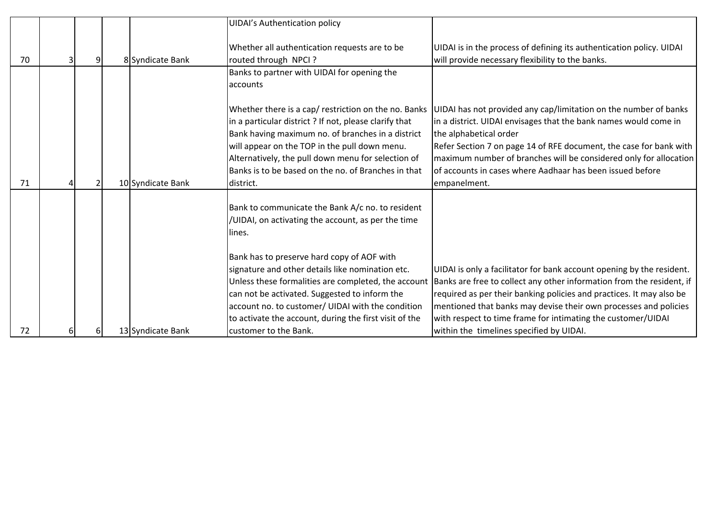|    |  |                   | <b>UIDAI's Authentication policy</b>                   |                                                                       |
|----|--|-------------------|--------------------------------------------------------|-----------------------------------------------------------------------|
|    |  |                   |                                                        |                                                                       |
|    |  |                   | Whether all authentication requests are to be          | UIDAI is in the process of defining its authentication policy. UIDAI  |
| 70 |  | 8 Syndicate Bank  | routed through NPCI ?                                  | will provide necessary flexibility to the banks.                      |
|    |  |                   | Banks to partner with UIDAI for opening the            |                                                                       |
|    |  |                   | accounts                                               |                                                                       |
|    |  |                   |                                                        |                                                                       |
|    |  |                   | Whether there is a cap/ restriction on the no. Banks   | UIDAI has not provided any cap/limitation on the number of banks      |
|    |  |                   | in a particular district? If not, please clarify that  | in a district. UIDAI envisages that the bank names would come in      |
|    |  |                   | Bank having maximum no. of branches in a district      | the alphabetical order                                                |
|    |  |                   | will appear on the TOP in the pull down menu.          | Refer Section 7 on page 14 of RFE document, the case for bank with    |
|    |  |                   | Alternatively, the pull down menu for selection of     | maximum number of branches will be considered only for allocation     |
|    |  |                   | Banks is to be based on the no. of Branches in that    | of accounts in cases where Aadhaar has been issued before             |
| 71 |  | 10 Syndicate Bank | district.                                              | empanelment.                                                          |
|    |  |                   |                                                        |                                                                       |
|    |  |                   | Bank to communicate the Bank A/c no. to resident       |                                                                       |
|    |  |                   | /UIDAI, on activating the account, as per the time     |                                                                       |
|    |  |                   | llines.                                                |                                                                       |
|    |  |                   |                                                        |                                                                       |
|    |  |                   | Bank has to preserve hard copy of AOF with             |                                                                       |
|    |  |                   | signature and other details like nomination etc.       | UIDAI is only a facilitator for bank account opening by the resident. |
|    |  |                   | Unless these formalities are completed, the account    | Banks are free to collect any other information from the resident, if |
|    |  |                   | can not be activated. Suggested to inform the          | required as per their banking policies and practices. It may also be  |
|    |  |                   | account no. to customer/ UIDAI with the condition      | mentioned that banks may devise their own processes and policies      |
|    |  |                   | to activate the account, during the first visit of the | with respect to time frame for intimating the customer/UIDAI          |
| 72 |  | 13 Syndicate Bank | customer to the Bank.                                  | within the timelines specified by UIDAI.                              |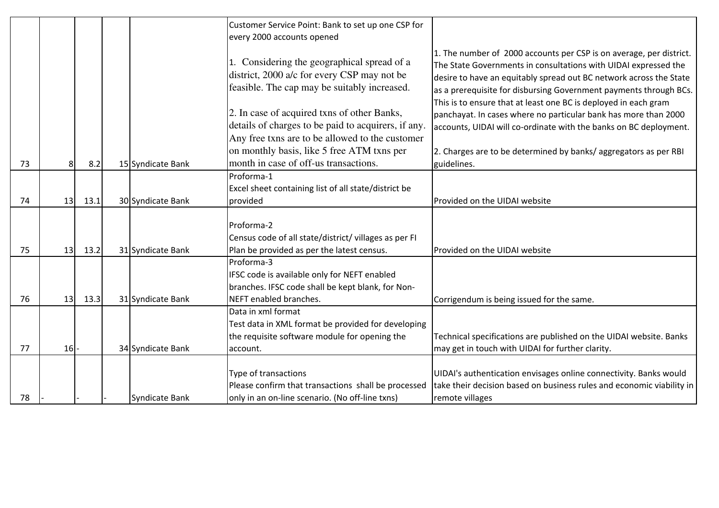|    |    |      |                   | Customer Service Point: Bank to set up one CSP for                                                                                                                                                                                                                                                  |                                                                                                                                                                                                                                                                                                                                                                                                                                                                                              |
|----|----|------|-------------------|-----------------------------------------------------------------------------------------------------------------------------------------------------------------------------------------------------------------------------------------------------------------------------------------------------|----------------------------------------------------------------------------------------------------------------------------------------------------------------------------------------------------------------------------------------------------------------------------------------------------------------------------------------------------------------------------------------------------------------------------------------------------------------------------------------------|
|    |    |      |                   | every 2000 accounts opened                                                                                                                                                                                                                                                                          |                                                                                                                                                                                                                                                                                                                                                                                                                                                                                              |
|    |    |      |                   | 1. Considering the geographical spread of a<br>district, 2000 a/c for every CSP may not be<br>feasible. The cap may be suitably increased.<br>2. In case of acquired txns of other Banks,<br>details of charges to be paid to acquirers, if any.<br>Any free txns are to be allowed to the customer | 1. The number of 2000 accounts per CSP is on average, per district.<br>The State Governments in consultations with UIDAI expressed the<br>desire to have an equitably spread out BC network across the State<br>as a prerequisite for disbursing Government payments through BCs.<br>This is to ensure that at least one BC is deployed in each gram<br>panchayat. In cases where no particular bank has more than 2000<br>accounts, UIDAI will co-ordinate with the banks on BC deployment. |
|    |    |      |                   | on monthly basis, like 5 free ATM txns per                                                                                                                                                                                                                                                          | 2. Charges are to be determined by banks/aggregators as per RBI                                                                                                                                                                                                                                                                                                                                                                                                                              |
| 73 |    | 8.2  | 15 Syndicate Bank | month in case of off-us transactions.                                                                                                                                                                                                                                                               | guidelines.                                                                                                                                                                                                                                                                                                                                                                                                                                                                                  |
| 74 | 13 | 13.1 | 30 Syndicate Bank | Proforma-1<br>Excel sheet containing list of all state/district be<br>provided                                                                                                                                                                                                                      | Provided on the UIDAI website                                                                                                                                                                                                                                                                                                                                                                                                                                                                |
| 75 | 13 | 13.2 | 31 Syndicate Bank | Proforma-2<br>Census code of all state/district/ villages as per FI<br>Plan be provided as per the latest census.                                                                                                                                                                                   | Provided on the UIDAI website                                                                                                                                                                                                                                                                                                                                                                                                                                                                |
| 76 | 13 | 13.3 | 31 Syndicate Bank | Proforma-3<br>IFSC code is available only for NEFT enabled<br>branches. IFSC code shall be kept blank, for Non-<br>NEFT enabled branches.                                                                                                                                                           | Corrigendum is being issued for the same.                                                                                                                                                                                                                                                                                                                                                                                                                                                    |
| 77 | 16 |      | 34 Syndicate Bank | Data in xml format<br>Test data in XML format be provided for developing<br>the requisite software module for opening the<br>account.                                                                                                                                                               | Technical specifications are published on the UIDAI website. Banks<br>may get in touch with UIDAI for further clarity.                                                                                                                                                                                                                                                                                                                                                                       |
| 78 |    |      | Syndicate Bank    | Type of transactions<br>Please confirm that transactions shall be processed<br>only in an on-line scenario. (No off-line txns)                                                                                                                                                                      | UIDAI's authentication envisages online connectivity. Banks would<br>take their decision based on business rules and economic viability in<br>remote villages                                                                                                                                                                                                                                                                                                                                |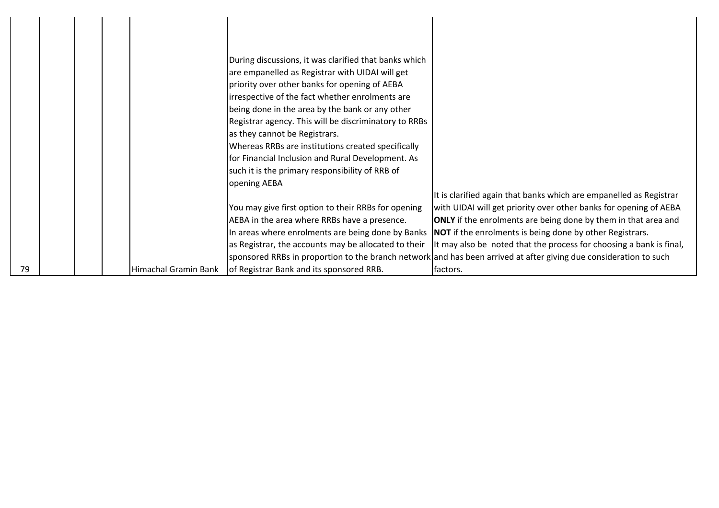|    |  |                      | During discussions, it was clarified that banks which<br>are empanelled as Registrar with UIDAI will get<br>priority over other banks for opening of AEBA<br>irrespective of the fact whether enrolments are<br>being done in the area by the bank or any other<br>Registrar agency. This will be discriminatory to RRBs<br>as they cannot be Registrars.<br>Whereas RRBs are institutions created specifically<br>for Financial Inclusion and Rural Development. As |                                                                                                                           |
|----|--|----------------------|----------------------------------------------------------------------------------------------------------------------------------------------------------------------------------------------------------------------------------------------------------------------------------------------------------------------------------------------------------------------------------------------------------------------------------------------------------------------|---------------------------------------------------------------------------------------------------------------------------|
|    |  |                      | such it is the primary responsibility of RRB of                                                                                                                                                                                                                                                                                                                                                                                                                      |                                                                                                                           |
|    |  |                      | opening AEBA                                                                                                                                                                                                                                                                                                                                                                                                                                                         |                                                                                                                           |
|    |  |                      |                                                                                                                                                                                                                                                                                                                                                                                                                                                                      | It is clarified again that banks which are empanelled as Registrar                                                        |
|    |  |                      | You may give first option to their RRBs for opening                                                                                                                                                                                                                                                                                                                                                                                                                  | with UIDAI will get priority over other banks for opening of AEBA                                                         |
|    |  |                      | AEBA in the area where RRBs have a presence.                                                                                                                                                                                                                                                                                                                                                                                                                         | <b>ONLY</b> if the enrolments are being done by them in that area and                                                     |
|    |  |                      |                                                                                                                                                                                                                                                                                                                                                                                                                                                                      | In areas where enrolments are being done by Banks NOT if the enrolments is being done by other Registrars.                |
|    |  |                      |                                                                                                                                                                                                                                                                                                                                                                                                                                                                      | as Registrar, the accounts may be allocated to their  It may also be noted that the process for choosing a bank is final, |
|    |  |                      |                                                                                                                                                                                                                                                                                                                                                                                                                                                                      | sponsored RRBs in proportion to the branch network and has been arrived at after giving due consideration to such         |
| 79 |  | Himachal Gramin Bank | of Registrar Bank and its sponsored RRB.                                                                                                                                                                                                                                                                                                                                                                                                                             | factors.                                                                                                                  |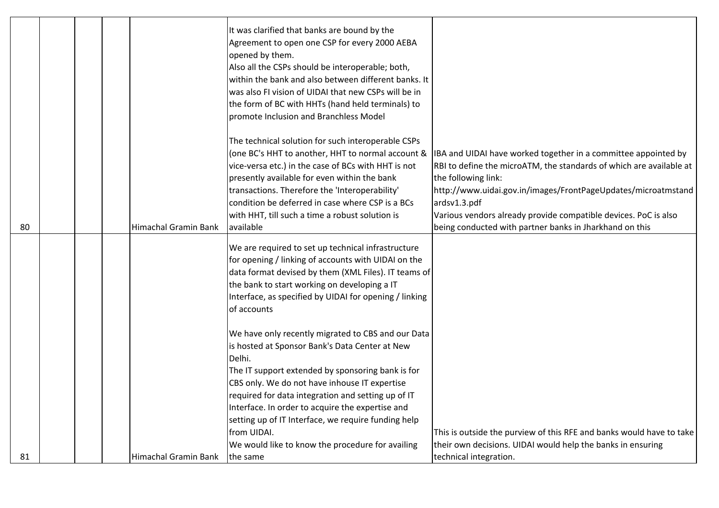|    |  |                             | It was clarified that banks are bound by the<br>Agreement to open one CSP for every 2000 AEBA<br>opened by them.<br>Also all the CSPs should be interoperable; both,<br>within the bank and also between different banks. It<br>was also FI vision of UIDAI that new CSPs will be in<br>the form of BC with HHTs (hand held terminals) to<br>promote Inclusion and Branchless Model                  |                                                                                                                                                                                                                                                                                                                                                                             |
|----|--|-----------------------------|------------------------------------------------------------------------------------------------------------------------------------------------------------------------------------------------------------------------------------------------------------------------------------------------------------------------------------------------------------------------------------------------------|-----------------------------------------------------------------------------------------------------------------------------------------------------------------------------------------------------------------------------------------------------------------------------------------------------------------------------------------------------------------------------|
| 80 |  | <b>Himachal Gramin Bank</b> | The technical solution for such interoperable CSPs<br>(one BC's HHT to another, HHT to normal account &<br>vice-versa etc.) in the case of BCs with HHT is not<br>presently available for even within the bank<br>transactions. Therefore the 'Interoperability'<br>condition be deferred in case where CSP is a BCs<br>with HHT, till such a time a robust solution is<br>available                 | IBA and UIDAI have worked together in a committee appointed by<br>RBI to define the microATM, the standards of which are available at<br>the following link:<br>http://www.uidai.gov.in/images/FrontPageUpdates/microatmstand<br>ardsv1.3.pdf<br>Various vendors already provide compatible devices. PoC is also<br>being conducted with partner banks in Jharkhand on this |
|    |  |                             | We are required to set up technical infrastructure<br>for opening / linking of accounts with UIDAI on the<br>data format devised by them (XML Files). IT teams of<br>the bank to start working on developing a IT<br>Interface, as specified by UIDAI for opening / linking<br>of accounts                                                                                                           |                                                                                                                                                                                                                                                                                                                                                                             |
|    |  |                             | We have only recently migrated to CBS and our Data<br>is hosted at Sponsor Bank's Data Center at New<br>Delhi.<br>The IT support extended by sponsoring bank is for<br>CBS only. We do not have inhouse IT expertise<br>required for data integration and setting up of IT<br>Interface. In order to acquire the expertise and<br>setting up of IT Interface, we require funding help<br>from UIDAI. | This is outside the purview of this RFE and banks would have to take                                                                                                                                                                                                                                                                                                        |
| 81 |  | <b>Himachal Gramin Bank</b> | We would like to know the procedure for availing<br>the same                                                                                                                                                                                                                                                                                                                                         | their own decisions. UIDAI would help the banks in ensuring<br>technical integration.                                                                                                                                                                                                                                                                                       |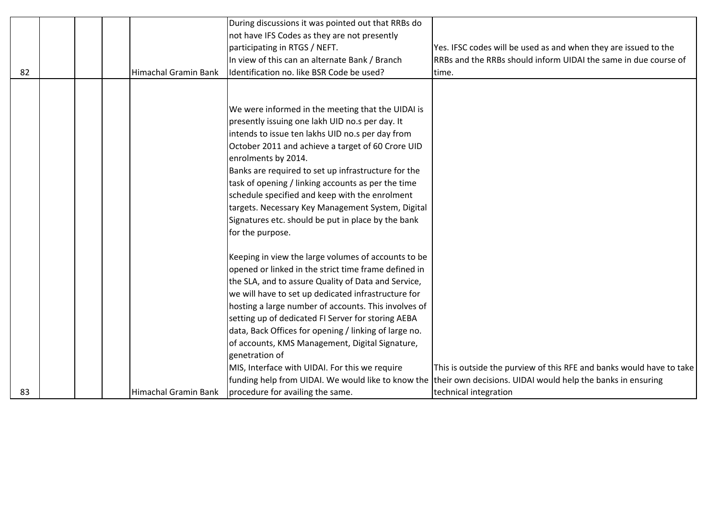|    |  |                             | During discussions it was pointed out that RRBs do    |                                                                                                                |
|----|--|-----------------------------|-------------------------------------------------------|----------------------------------------------------------------------------------------------------------------|
|    |  |                             | not have IFS Codes as they are not presently          |                                                                                                                |
|    |  |                             | participating in RTGS / NEFT.                         | Yes. IFSC codes will be used as and when they are issued to the                                                |
|    |  |                             | In view of this can an alternate Bank / Branch        | RRBs and the RRBs should inform UIDAI the same in due course of                                                |
| 82 |  | <b>Himachal Gramin Bank</b> | Identification no. like BSR Code be used?             | time.                                                                                                          |
|    |  |                             |                                                       |                                                                                                                |
|    |  |                             |                                                       |                                                                                                                |
|    |  |                             | We were informed in the meeting that the UIDAI is     |                                                                                                                |
|    |  |                             | presently issuing one lakh UID no.s per day. It       |                                                                                                                |
|    |  |                             | intends to issue ten lakhs UID no.s per day from      |                                                                                                                |
|    |  |                             | October 2011 and achieve a target of 60 Crore UID     |                                                                                                                |
|    |  |                             | enrolments by 2014.                                   |                                                                                                                |
|    |  |                             | Banks are required to set up infrastructure for the   |                                                                                                                |
|    |  |                             | task of opening / linking accounts as per the time    |                                                                                                                |
|    |  |                             | schedule specified and keep with the enrolment        |                                                                                                                |
|    |  |                             | targets. Necessary Key Management System, Digital     |                                                                                                                |
|    |  |                             | Signatures etc. should be put in place by the bank    |                                                                                                                |
|    |  |                             | for the purpose.                                      |                                                                                                                |
|    |  |                             |                                                       |                                                                                                                |
|    |  |                             | Keeping in view the large volumes of accounts to be   |                                                                                                                |
|    |  |                             | opened or linked in the strict time frame defined in  |                                                                                                                |
|    |  |                             | the SLA, and to assure Quality of Data and Service,   |                                                                                                                |
|    |  |                             | we will have to set up dedicated infrastructure for   |                                                                                                                |
|    |  |                             | hosting a large number of accounts. This involves of  |                                                                                                                |
|    |  |                             | setting up of dedicated FI Server for storing AEBA    |                                                                                                                |
|    |  |                             | data, Back Offices for opening / linking of large no. |                                                                                                                |
|    |  |                             | of accounts, KMS Management, Digital Signature,       |                                                                                                                |
|    |  |                             | genetration of                                        |                                                                                                                |
|    |  |                             | MIS, Interface with UIDAI. For this we require        | This is outside the purview of this RFE and banks would have to take                                           |
|    |  |                             |                                                       | funding help from UIDAI. We would like to know the their own decisions. UIDAI would help the banks in ensuring |
| 83 |  | Himachal Gramin Bank        | procedure for availing the same.                      | technical integration                                                                                          |